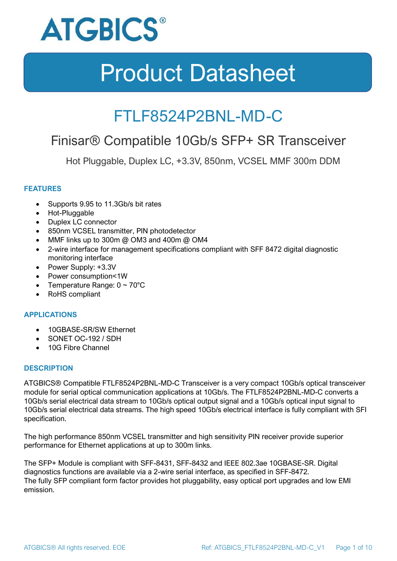

### FTLF8524P2BNL-MD-C

### Finisar® Compatible 10Gb/s SFP+ SR Transceiver

Hot Pluggable, Duplex LC, +3.3V, 850nm, VCSEL MMF 300m DDM

### **FEATURES**

- Supports 9.95 to 11.3Gb/s bit rates
- Hot-Pluggable
- Duplex LC connector
- 850nm VCSEL transmitter, PIN photodetector
- MMF links up to 300m @ OM3 and 400m @ OM4
- 2-wire interface for management specifications compliant with SFF 8472 digital diagnostic monitoring interface
- Power Supply: +3.3V
- Power consumption<1W
- Temperature Range:  $0 \sim 70^{\circ}$ C
- RoHS compliant

### **APPLICATIONS**

- 10GBASE-SR/SW Ethernet
- SONET OC-192 / SDH
- 10G Fibre Channel

### **DESCRIPTION**

ATGBICS® Compatible FTLF8524P2BNL-MD-C Transceiver is a very compact 10Gb/s optical transceiver module for serial optical communication applications at 10Gb/s. The FTLF8524P2BNL-MD-C converts a 10Gb/s serial electrical data stream to 10Gb/s optical output signal and a 10Gb/s optical input signal to 10Gb/s serial electrical data streams. The high speed 10Gb/s electrical interface is fully compliant with SFI specification.

The high performance 850nm VCSEL transmitter and high sensitivity PIN receiver provide superior performance for Ethernet applications at up to 300m links.

The SFP+ Module is compliant with SFF-8431, SFF-8432 and IEEE 802.3ae 10GBASE-SR. Digital diagnostics functions are available via a 2-wire serial interface, as specified in SFF-8472. The fully SFP compliant form factor provides hot pluggability, easy optical port upgrades and low EMI emission.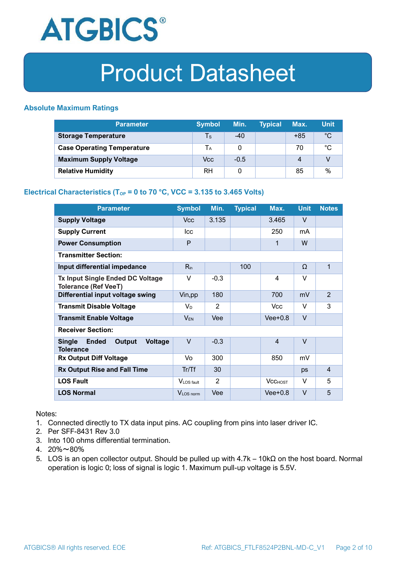

### **Absolute Maximum Ratings**

| <b>Parameter</b>                  | <b>Symbol</b> | Min.   | <b>Typical</b> | Max.  | <b>Unit</b> |
|-----------------------------------|---------------|--------|----------------|-------|-------------|
| <b>Storage Temperature</b>        | Ts            | $-40$  |                | $+85$ | $^{\circ}C$ |
| <b>Case Operating Temperature</b> | Tа            |        |                | 70    | °C          |
| <b>Maximum Supply Voltage</b>     | Vcc           | $-0.5$ |                | 4     |             |
| <b>Relative Humidity</b>          | <b>RH</b>     | 0      |                | 85    | %           |

### **Electrical Characteristics (T<sub>OP</sub> = 0 to 70 °C, VCC = 3.135 to 3.465 Volts)**

| <b>Parameter</b>                                                              | <b>Symbol</b>         | Min.   | <b>Typical</b> | Max.           | <b>Unit</b> | <b>Notes</b>   |
|-------------------------------------------------------------------------------|-----------------------|--------|----------------|----------------|-------------|----------------|
| <b>Supply Voltage</b>                                                         | <b>Vcc</b>            | 3.135  |                | 3.465          | V           |                |
| <b>Supply Current</b>                                                         | Icc                   |        |                | 250            | mA          |                |
| <b>Power Consumption</b>                                                      | P                     |        |                | 1              | W           |                |
| <b>Transmitter Section:</b>                                                   |                       |        |                |                |             |                |
| Input differential impedance                                                  | $R_{in}$              |        | 100            |                | Ω           | 1              |
| <b>Tx Input Single Ended DC Voltage</b><br><b>Tolerance (Ref VeeT)</b>        | $\vee$                | $-0.3$ |                | 4              | $\vee$      |                |
| Differential input voltage swing                                              | Vin, pp               | 180    |                | 700            | mV          | $\overline{2}$ |
| <b>Transmit Disable Voltage</b>                                               | $V_D$                 | 2      |                | Vcc.           | V           | 3              |
| <b>Transmit Enable Voltage</b>                                                | <b>VEN</b>            | Vee    |                | $Vee+0.8$      | $\vee$      |                |
| <b>Receiver Section:</b>                                                      |                       |        |                |                |             |                |
| <b>Single</b><br><b>Ended</b><br>Output<br><b>Voltage</b><br><b>Tolerance</b> | $\vee$                | $-0.3$ |                | $\overline{4}$ | $\vee$      |                |
| <b>Rx Output Diff Voltage</b>                                                 | Vo                    | 300    |                | 850            | mV          |                |
| <b>Rx Output Rise and Fall Time</b>                                           | Tr/Tf                 | 30     |                |                | ps          | $\overline{4}$ |
| <b>LOS Fault</b>                                                              | VLOS fault            | 2      |                | <b>VCCHOST</b> | v           | 5              |
| <b>LOS Normal</b>                                                             | V <sub>LOS</sub> norm | Vee    |                | $Vee+0.8$      | $\vee$      | 5              |

Notes:

- 1. Connected directly to TX data input pins. AC coupling from pins into laser driver IC.
- 2. Per SFF-8431 Rev 3.0
- 3. Into 100 ohms differential termination.
- 4. 20%~80%
- 5. LOS is an open collector output. Should be pulled up with 4.7k 10kΩ on the host board. Normal operation is logic 0; loss of signal is logic 1. Maximum pull-up voltage is 5.5V.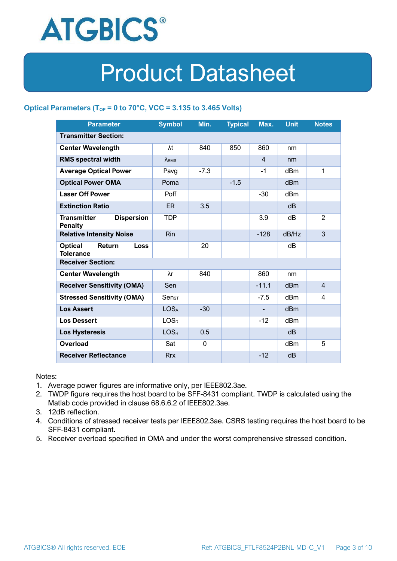

### **Optical Parameters** ( $T_{OP} = 0$  to 70°C, VCC = 3.135 to 3.465 Volts)

| <b>Parameter</b>                                            | <b>Symbol</b>                | Min.     | <b>Typical</b> | Max.           | <b>Unit</b>     | <b>Notes</b>   |  |
|-------------------------------------------------------------|------------------------------|----------|----------------|----------------|-----------------|----------------|--|
| <b>Transmitter Section:</b>                                 |                              |          |                |                |                 |                |  |
| <b>Center Wavelength</b>                                    | λt                           | 840      | 850            | 860            | nm              |                |  |
| <b>RMS spectral width</b>                                   | $\lambda_{RMS}$              |          |                | $\overline{4}$ | nm              |                |  |
| <b>Average Optical Power</b>                                | Pavg                         | $-7.3$   |                | $-1$           | dBm             | 1              |  |
| <b>Optical Power OMA</b>                                    | Poma                         |          | $-1.5$         |                | dBm             |                |  |
| <b>Laser Off Power</b>                                      | Poff                         |          |                | $-30$          | dBm             |                |  |
| <b>Extinction Ratio</b>                                     | ER.                          | 3.5      |                |                | dB              |                |  |
| <b>Transmitter</b><br><b>Dispersion</b><br><b>Penalty</b>   | <b>TDP</b>                   |          |                | 3.9            | dB              | $\overline{2}$ |  |
| <b>Relative Intensity Noise</b>                             | Rin                          |          |                | $-128$         | dB/Hz           | 3              |  |
| <b>Optical</b><br>Return<br><b>Loss</b><br><b>Tolerance</b> |                              | 20       |                |                | dВ              |                |  |
| <b>Receiver Section:</b>                                    |                              |          |                |                |                 |                |  |
| <b>Center Wavelength</b>                                    | λr                           | 840      |                | 860            | nm              |                |  |
| <b>Receiver Sensitivity (OMA)</b>                           | Sen                          |          |                | $-11.1$        | d <sub>Bm</sub> | $\overline{4}$ |  |
| <b>Stressed Sensitivity (OMA)</b>                           | $\mathsf{Sen}_{\mathsf{ST}}$ |          |                | $-7.5$         | dB <sub>m</sub> | 4              |  |
| <b>Los Assert</b>                                           | LOS <sub>A</sub>             | $-30$    |                |                | d <sub>Bm</sub> |                |  |
| <b>Los Dessert</b>                                          | LOS <sub>D</sub>             |          |                | $-12$          | dBm             |                |  |
| Los Hysteresis                                              | LOS <sub>H</sub>             | 0.5      |                |                | dB              |                |  |
| Overload                                                    | Sat                          | $\Omega$ |                |                | dBm             | 5              |  |
| <b>Receiver Reflectance</b>                                 | <b>Rrx</b>                   |          |                | $-12$          | dB              |                |  |

Notes:

- 1. Average power figures are informative only, per IEEE802.3ae.
- 2. TWDP figure requires the host board to be SFF-8431 compliant. TWDP is calculated using the Matlab code provided in clause 68.6.6.2 of IEEE802.3ae.
- 3. 12dB reflection.
- 4. Conditions of stressed receiver tests per IEEE802.3ae. CSRS testing requires the host board to be SFF-8431 compliant.
- 5. Receiver overload specified in OMA and under the worst comprehensive stressed condition.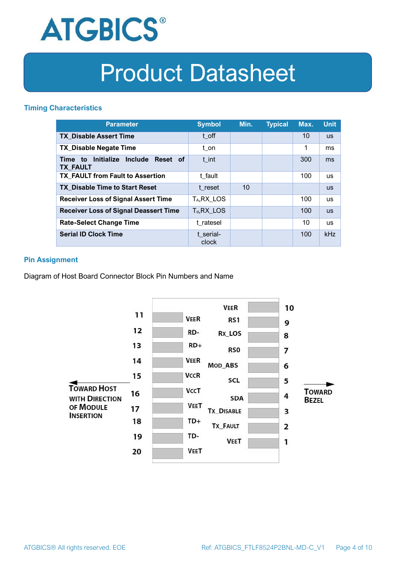

### **Timing Characteristics**

| <b>Parameter</b>                                                          | <b>Symbol</b>         | Min. | <b>Typical</b> | Max. | <b>Unit</b> |
|---------------------------------------------------------------------------|-----------------------|------|----------------|------|-------------|
| <b>TX Disable Assert Time</b>                                             | t off                 |      |                | 10   | <b>US</b>   |
| <b>TX Disable Negate Time</b>                                             | t_on                  |      |                | 1    | ms          |
| Initialize<br><b>Include</b><br>Reset of<br>Time<br>to<br><b>TX FAULT</b> | t int                 |      |                | 300  | ms          |
| <b>TX FAULT from Fault to Assertion</b>                                   | t fault               |      |                | 100  | <b>us</b>   |
| <b>TX Disable Time to Start Reset</b>                                     | t reset               | 10   |                |      | <b>US</b>   |
| <b>Receiver Loss of Signal Assert Time</b>                                | T <sub>A</sub> RX LOS |      |                | 100  | <b>us</b>   |
| <b>Receiver Loss of Signal Deassert Time</b>                              | $T_d, RX$ LOS         |      |                | 100  | <b>US</b>   |
| <b>Rate-Select Change Time</b>                                            | t ratesel             |      |                | 10   | <b>us</b>   |
| <b>Serial ID Clock Time</b>                                               | t serial-<br>clock    |      |                | 100  | kHz         |

### **Pin Assignment**

Diagram of Host Board Connector Block Pin Numbers and Name

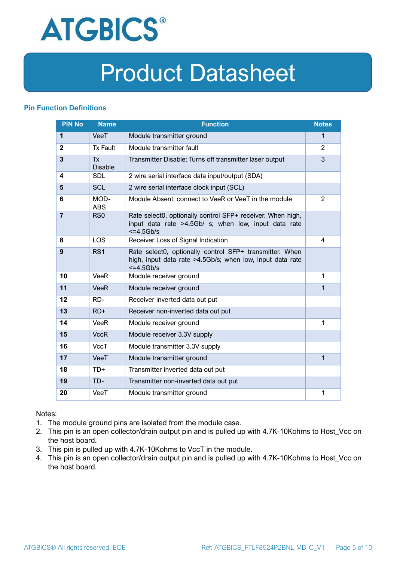

### **Pin Function Definitions**

| <b>PIN No</b>           | <b>Name</b>                 | <b>Function</b>                                                                                                                     | <b>Notes</b>   |
|-------------------------|-----------------------------|-------------------------------------------------------------------------------------------------------------------------------------|----------------|
| 1                       | VeeT                        | Module transmitter ground                                                                                                           | $\mathbf{1}$   |
| $\mathbf{2}$            | <b>Tx Fault</b>             | Module transmitter fault                                                                                                            | $\overline{2}$ |
| $\overline{\mathbf{3}}$ | <b>Tx</b><br><b>Disable</b> | Transmitter Disable; Turns off transmitter laser output                                                                             | 3              |
| 4                       | <b>SDL</b>                  | 2 wire serial interface data input/output (SDA)                                                                                     |                |
| 5                       | <b>SCL</b>                  | 2 wire serial interface clock input (SCL)                                                                                           |                |
| 6                       | MOD-<br><b>ABS</b>          | Module Absent, connect to VeeR or VeeT in the module                                                                                | 2              |
| $\overline{7}$          | RS <sub>0</sub>             | Rate select0, optionally control SFP+ receiver. When high,<br>input data rate >4.5Gb/ s; when low, input data rate<br>$<=4.5Gb/s$   |                |
| 8                       | <b>LOS</b>                  | Receiver Loss of Signal Indication                                                                                                  | 4              |
| 9                       | RS <sub>1</sub>             | Rate select0, optionally control SFP+ transmitter. When<br>high, input data rate >4.5Gb/s; when low, input data rate<br>$<=4.5Gb/s$ |                |
| 10                      | <b>VeeR</b>                 | Module receiver ground                                                                                                              | 1              |
| 11                      | <b>VeeR</b>                 | Module receiver ground                                                                                                              | 1              |
| 12                      | RD-                         | Receiver inverted data out put                                                                                                      |                |
| 13                      | $RD+$                       | Receiver non-inverted data out put                                                                                                  |                |
| 14                      | <b>VeeR</b>                 | Module receiver ground                                                                                                              | 1              |
| 15                      | <b>VccR</b>                 | Module receiver 3.3V supply                                                                                                         |                |
| 16                      | <b>VccT</b>                 | Module transmitter 3.3V supply                                                                                                      |                |
| 17                      | VeeT                        | Module transmitter ground                                                                                                           | $\mathbf{1}$   |
| 18                      | $TD+$                       | Transmitter inverted data out put                                                                                                   |                |
| 19                      | TD-                         | Transmitter non-inverted data out put                                                                                               |                |
| 20                      | VeeT                        | Module transmitter ground                                                                                                           | 1              |

Notes:

- 1. The module ground pins are isolated from the module case.
- 2. This pin is an open collector/drain output pin and is pulled up with 4.7K-10Kohms to Host\_Vcc on the host board.
- 3. This pin is pulled up with 4.7K-10Kohms to VccT in the module.
- 4. This pin is an open collector/drain output pin and is pulled up with 4.7K-10Kohms to Host Vcc on the host board.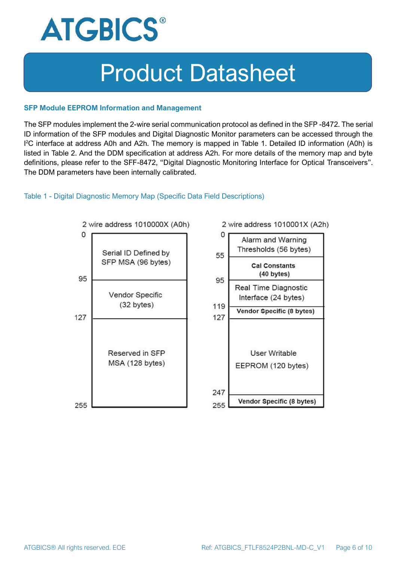

#### **SFP Module EEPROM Information and Management**

The SFP modules implement the 2-wire serial communication protocol as defined in the SFP -8472. The serial ID information of the SFP modules and Digital Diagnostic Monitor parameters can be accessed through the I <sup>2</sup>C interface at address A0h and A2h. The memory is mapped in Table 1. Detailed ID information (A0h) is listed in Table 2. And the DDM specification at address A2h. For more details of the memory map and byte definitions, please refer to the SFF-8472, "Digital Diagnostic Monitoring Interface for Optical Transceivers". The DDM parameters have been internally calibrated.

### Table 1 - Digital Diagnostic Memory Map (Specific Data Field Descriptions)

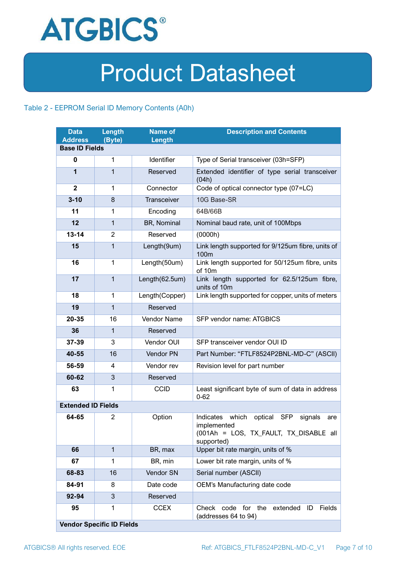

### Table 2 - EEPROM Serial ID Memory Contents (A0h)

| <b>Data</b><br><b>Address</b> | Length<br>(Byte)                 | <b>Name of</b><br>Length | <b>Description and Contents</b>                                                                                                   |
|-------------------------------|----------------------------------|--------------------------|-----------------------------------------------------------------------------------------------------------------------------------|
| <b>Base ID Fields</b>         |                                  |                          |                                                                                                                                   |
| $\bf{0}$                      | 1                                | Identifier               | Type of Serial transceiver (03h=SFP)                                                                                              |
| 1                             | 1                                | Reserved                 | Extended identifier of type serial transceiver<br>(04h)                                                                           |
| $\mathbf{2}$                  | 1                                | Connector                | Code of optical connector type (07=LC)                                                                                            |
| $3 - 10$                      | 8                                | Transceiver              | 10G Base-SR                                                                                                                       |
| 11                            | 1                                | Encoding                 | 64B/66B                                                                                                                           |
| 12                            | 1                                | BR, Nominal              | Nominal baud rate, unit of 100Mbps                                                                                                |
| $13 - 14$                     | $\overline{2}$                   | Reserved                 | (0000h)                                                                                                                           |
| 15                            | $\mathbf{1}$                     | Length(9um)              | Link length supported for 9/125um fibre, units of<br>100m                                                                         |
| 16                            | $\mathbf 1$                      | Length(50um)             | Link length supported for 50/125um fibre, units<br>of 10m                                                                         |
| 17                            | $\mathbf{1}$                     | Length(62.5um)           | Link length supported for 62.5/125um fibre,<br>units of 10m                                                                       |
| 18                            | $\mathbf{1}$                     | Length(Copper)           | Link length supported for copper, units of meters                                                                                 |
| 19                            | $\mathbf{1}$                     | Reserved                 |                                                                                                                                   |
| 20-35                         | 16                               | <b>Vendor Name</b>       | SFP vendor name: ATGBICS                                                                                                          |
| 36                            | $\mathbf{1}$                     | Reserved                 |                                                                                                                                   |
| 37-39                         | 3                                | Vendor OUI               | SFP transceiver vendor OUI ID                                                                                                     |
| 40-55                         | 16                               | Vendor PN                | Part Number: "FTLF8524P2BNL-MD-C" (ASCII)                                                                                         |
| 56-59                         | 4                                | Vendor rev               | Revision level for part number                                                                                                    |
| 60-62                         | 3                                | Reserved                 |                                                                                                                                   |
| 63                            | 1                                | <b>CCID</b>              | Least significant byte of sum of data in address<br>$0 - 62$                                                                      |
| <b>Extended ID Fields</b>     |                                  |                          |                                                                                                                                   |
| 64-65                         | $\overline{2}$                   | Option                   | Indicates which<br>optical<br><b>SFP</b><br>signals<br>are<br>implemented<br>(001Ah = LOS, TX_FAULT, TX_DISABLE all<br>supported) |
| 66                            | $\mathbf{1}$                     | BR, max                  | Upper bit rate margin, units of %                                                                                                 |
| 67                            | 1                                | BR, min                  | Lower bit rate margin, units of %                                                                                                 |
| 68-83                         | 16                               | Vendor SN                | Serial number (ASCII)                                                                                                             |
| 84-91                         | 8                                | Date code                | OEM's Manufacturing date code                                                                                                     |
| 92-94                         | 3                                | Reserved                 |                                                                                                                                   |
| 95                            | 1                                | <b>CCEX</b>              | code for the<br><b>Fields</b><br>Check<br>extended<br>ID<br>(addresses 64 to 94)                                                  |
|                               | <b>Vendor Specific ID Fields</b> |                          |                                                                                                                                   |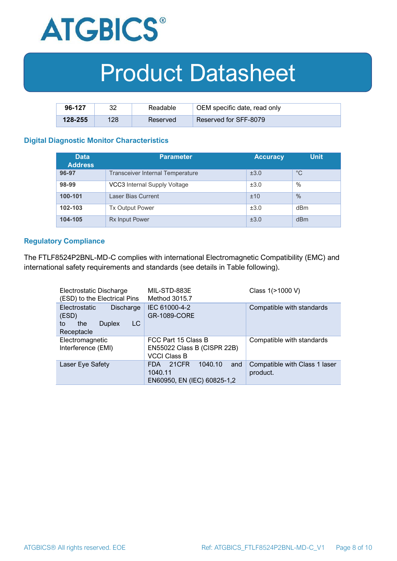

| 96-127      | າາ  | Readable | OEM specific date, read only |
|-------------|-----|----------|------------------------------|
| $128 - 255$ | 128 | Reserved | Reserved for SFF-8079        |

#### **Digital Diagnostic Monitor Characteristics**

| <b>Data</b><br><b>Address</b> | <b>Parameter</b>                        | <b>Accuracy</b> | <b>Unit</b> |
|-------------------------------|-----------------------------------------|-----------------|-------------|
| 96-97                         | <b>Transceiver Internal Temperature</b> | ±3.0            | $^{\circ}C$ |
| 98-99                         | VCC3 Internal Supply Voltage            | ±3.0            | %           |
| 100-101                       | Laser Bias Current                      | ±10             | $\%$        |
| 102-103                       | <b>Tx Output Power</b>                  | ±3.0            | dBm         |
| 104-105                       | <b>Rx Input Power</b>                   | ±3.0            | dBm         |

#### **Regulatory Compliance**

The FTLF8524P2BNL-MD-C complies with international Electromagnetic Compatibility (EMC) and international safety requirements and standards (see details in Table following).

| Electrostatic Discharge<br>(ESD) to the Electrical Pins                               | MIL-STD-883E<br>Method 3015.7                                                   | Class 1(>1000 V)                          |
|---------------------------------------------------------------------------------------|---------------------------------------------------------------------------------|-------------------------------------------|
| Electrostatic<br>Discharge<br>(ESD)<br>LC<br>the<br><b>Duplex</b><br>to<br>Receptacle | IEC 61000-4-2<br><b>GR-1089-CORE</b>                                            | Compatible with standards                 |
| Electromagnetic<br>Interference (EMI)                                                 | FCC Part 15 Class B<br>EN55022 Class B (CISPR 22B)<br><b>VCCI Class B</b>       | Compatible with standards                 |
| Laser Eye Safety                                                                      | 1040.10<br>21CFR<br><b>FDA</b><br>and<br>1040.11<br>EN60950, EN (IEC) 60825-1,2 | Compatible with Class 1 laser<br>product. |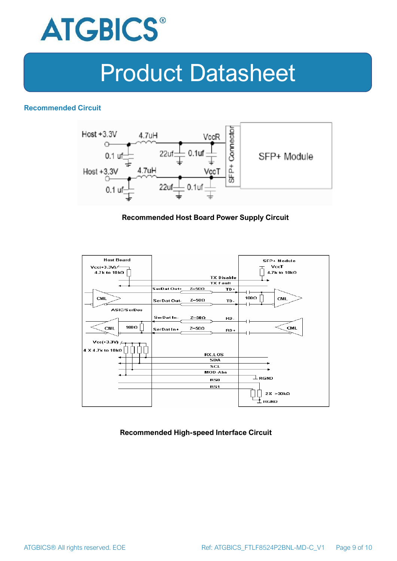

### **Recommended Circuit**



#### **Recommended Host Board Power Supply Circuit**



### **Recommended High-speed Interface Circuit**